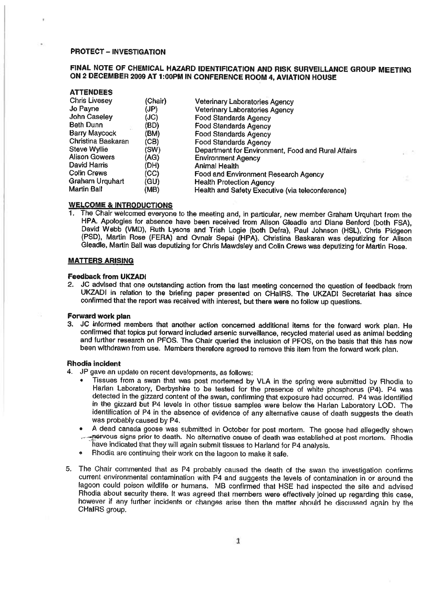# PROTECT — INVESTIGATION

ATTENDEES

# FINAL NOTE OF CHEMICAL HAZARD IDENTIFICATION AND RISK SURVEILLANCE GROUP MEETING ON 2 DECEMBER 2009 AT 1:00PM IN CONFERENCE ROOM 4, AVIATION HOUSE

| AIIENUEES            |         |                                                    |
|----------------------|---------|----------------------------------------------------|
| <b>Chris Livesey</b> | (Chair) | Veterinary Laboratories Agency                     |
| Jo Payne             | (JP)    | <b>Veterinary Laboratories Agency</b>              |
| <b>John Caseley</b>  | (JC)    | <b>Food Standards Agency</b>                       |
| <b>Beth Dunn</b>     | (BD)    | <b>Food Standards Agency</b>                       |
| <b>Barry Maycock</b> | (BM)    | <b>Food Standards Agency</b>                       |
| Christina Baskaran   | (CB)    | <b>Food Standards Agency</b>                       |
| Steve Wyllie         | (SW)    | Department for Environment, Food and Rural Affairs |
| <b>Alison Gowers</b> | (AG)    | <b>Environment Agency</b>                          |
| David Harris         | (DH)    | Animal Health                                      |
| <b>Colin Crews</b>   | (CC)    | Food and Environment Research Agency               |
| Graham Urquhart      | (GU)    | <b>Health Protection Agency</b>                    |
| Martin Ball          | (MB)    | Health and Safety Executive (via teleconference)   |

## WELCOME & INTRODUCTIONS

The Chair welcomed everyone to the meeting and, in particular, new member Graham Urquhart from the HPA. Apologies for absence have been received from Alison Gleadle and Diane Benford (both FSA), David Webb (VMD), Ruth Lysons and Trish Logie (both Defra), Paul Johnson (HSL), Chris Pidgeon (PSD), Martin Rose (FERA) and Ovnair Sepai (HPA). Christina Baskaran was deputizing for Alison Gleadle, Martin Ball was deputizing for Chris Mawdsley and Colin Crews was deputizing for Martin Rose.

## MATTERS ARISING

## Feedback from UKZADI

2. JC advised that one outstanding action from the last meeting concerned the question of feedback from UKZADI in relation to the briefing paper presented on CHaIRS, The UKZADI Secretariat has since confirmed that the report was received with interest, but there were no follow up questions.

## Forward work plan

3. JC informed members that another action concerned additional items for the forward work plan. He confirmed that topics put forward included arsenic surveillance, recycled material used as animal bedding and further research on PFOS. The Chair queried the inclusion of PFOS, on the basis that this has now been withdrawn from use. Members therefore agreed to remove this item from the forward work plan.

## Rhodia incident

- 4. JP gave an update on recent developments, as follows:
	- Tissues from <sup>a</sup> swan that was post mortemed by VLA in the spring were submitted by Rhodia to Harlan Laboratory, Derbyshire to be tested for the presence of white phosphorus (P4). P4 was detected in the gizzard content of the swan, confirming that exposure had occurred. P4 was identified in the gizzard but P4 levels in other tissue samples were below the Harlan Laboratory LOD. The identification of P4 in the absence of evidence of any alternative cause of death suggests the death was probably caused by P4,
	- A dead canada goose was submitted in October for post mortem. The goose had allegedly shown ~....~riervous signs prior to death. No alternative cause of death was established at post mortem. Flhodia - have indicated that they will again submit tissues to Harland for P4 analysis.
	- Fihodia are continuing their work on the lagoon to make it safe.
- 5. The Chair commented that as P4 probably caused the death of the swan the investigation confirms current environmental contamination with P4 and suggests the levels of contamination in or around the lagoon could poison wildlife or humans. MB confirmed that HSE had inspected the site and advised Rhodia about security there. It was agreed that members were effectively joined up regarding this case, however if any further incidents or changes arise then the matter should he discussed again by the CHaIRS group.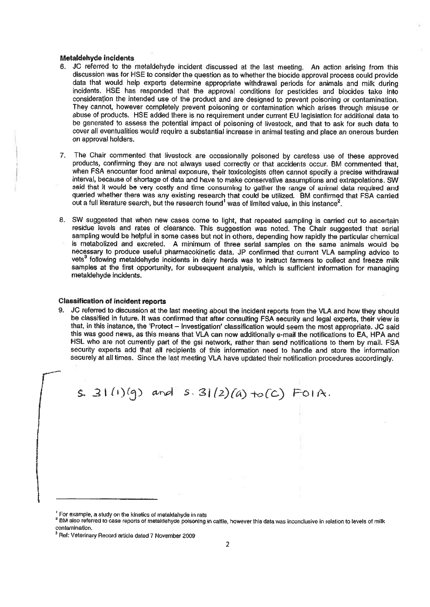## Metaldehyde incIdents

- 6. iC referred to the metaldehyde incident discussed at the last meeting. An action arising from this discussion was for HSE to consider the question as to whether the biocide approval process could provide data that would help experts determine appropriate withdrawal periods for animals and milk during incidents. HSE has responded that the approval conditions for pesticides and biocides take into consideraflon the intended use of the product and are designed to prevent poisoning or contamination. They cannot, however completely prevent poisoning or contamination which arises through misuse or abuse of products. HSE added there is no requirement under current EU legislation for additional data to be generated to assess the potential impact of poisoning of livestock, and that to ask for such data to cover all eventualities would require <sup>a</sup> substantial increase in animal testing and place an onerous burden on approval holders.
- 7. The Chair commented that livestock are occasionally poisoned by careless use of these approved products, confirming they are not always used correctly or that accidents occur. GM commented that, when FSA encounter food animal exposure, their toxicologists often cannot specify <sup>a</sup> precise withdrawal interval, because of shortage of data and have to make conservative assumptions and extrapolations. SW said that it would be very costly and time consuming to gather the range of animal data required and queried whether there was any existing research that could be utilized. BM confirmed that FSA carried out a full literature search, but the research found<sup>1</sup> was of limited value, in this instance<sup>2</sup>.
- 8. SW suggested that when new cases come to light, that repeated sampling is carried out to ascertain residue levels and rates of clearance. This suggestion was noted. The Chair suggested that serial sampling would be helpful in some cases but not in others, depending how rapidly the particular chemical is metabolized and excreted. <sup>A</sup> minimum of three serial samples on the same animals would be necessary to produce useful pharmacokinetic data. JP confirmed that current VLA sampling advice to vets<sup>3</sup> following metaldehyde incidents in dairy herds was to instruct farmers to collect and freeze milk samples at the first opportunity, for subsequent analysis, which is sufficient information for managing metaldehyde incidents.

#### Classification of incident reports

9. JC referred to discussion at the last meeting about the incident reports from the VLA and how they should be classified in future. It was confirmed that after consulting FSA security and legal experts, their view is that, in this instance, the Protect — Investigation' classification would seem the most appropriate. JC said this was good news, as this means that VLA can now additionally e-mail the notifications to EA, HPA and HSL who are not currently part of the gsi network, rather than send notifications to them by mail. FSA security experts add that all recipients of this information need to handle and store the information securely at all times. Since the last meeting VLA have updated their notification procedures accordingly.

 $s. 31(1)(q)$  and  $s. 31(2)(a) + o(c)$  FOIA.

<sup>&</sup>lt;sup>1</sup> For example, a study on the kinetics of metaldahyde in rats<br><sup>2</sup> BM also referred to case reports of metaldehyde poisoning in cattle, however this data was inconclusive in relation to levels of milk contamination.

<sup>&</sup>lt;sup>3</sup> Ref: Veterinary Record article dated 7 November 2009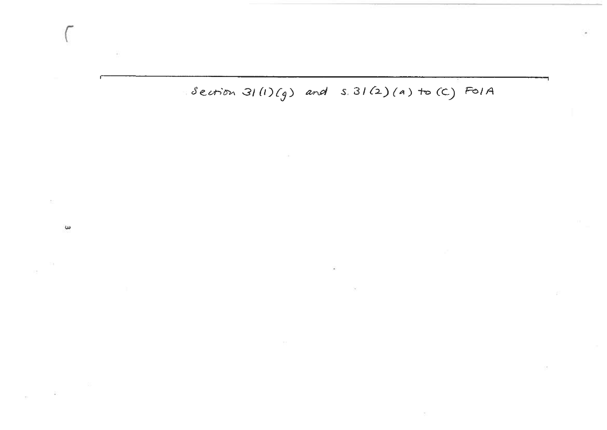$s$  ection 31(1)(g) and s. 31(2)(a) to (C) FOIA

 $\left( \frac{1}{2} \right)$ 

 $\omega$ 

 $\geq$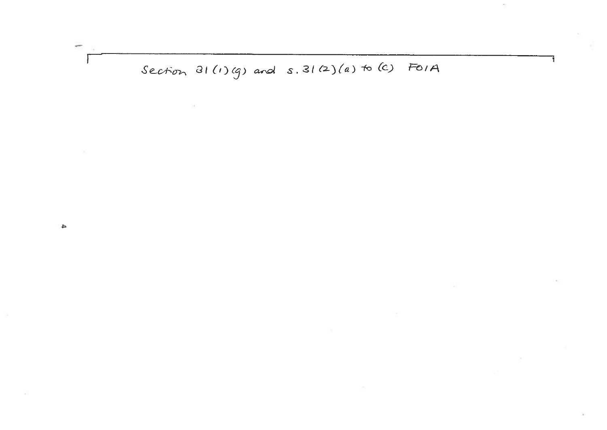# Section  $31(1)(g)$  and  $s.31(2)(a)$  to (c) FOIA

 $\blacktriangle$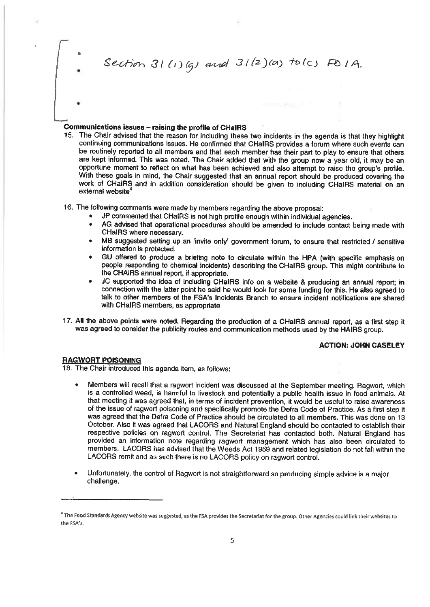Section  $31(1)(q)$  and  $31(2)(a)$  to (c) FO 1A.

# Communications issues — raising the profile of CHaIRS

- 15. The Chair advised that the reason for including these two incidents in the agenda is that they highlight continuing communications issues. He confirmed that CHaIRS provides <sup>a</sup> forum where such events can be routinely reported to all members and that each member has their part to play to ensure that others are kept informed. This was noted. The Chair added that with the group now <sup>a</sup> year old, it may be an opportune moment to reflect on what has been achieved and also attempt to raise the group's profile. With these goals in mind, the Chair suggested that an annual report should be produced covering the work of CHaIRS and in addition consideration should be given to including CHaIRS material on an external website<sup>4</sup>
- 16. The following comments were made by members regarding the above proposal:
	- JP commented that CHaIRS is not high profile enough within individual agencies.
	- AG advised that operational procedures should be amended to include contact being made with CHaIRS where necessary.
	- MB suggested setting up an 'invite only' government forum, to ensure that restricted / sensitive information is protected.
	- GU offered to produce a briefing note to circulate within the HPA (with specific emphasis on people responding to chemical incidents) describing the CHaIRS group. This might contribute to the CHAIRS annual report, if appropriate.
	- JC supported the idea of including CHaIRS info on <sup>a</sup> website & producing an annual report; in connection with the latter point he said he would look for some funding for this. He also agreed to talk to other members of the FSA's Incidents Branch to ensure incident notifications are shared with CHaIRS members, as appropriate
- 17. All the above points were noted. Regarding the production of <sup>a</sup> CHaIRS annual report, as <sup>a</sup> first step it was agreed to consider the publicity routes and communication methods used by the HAIRS group.

## ACTION: JOHN CASELEY

# RAGWORT POISONING

18. The Chair introduced this agenda item, as follows:

- Members will recall that <sup>a</sup> ragwort incident was discussed at the September meeting. Ragwort, which is <sup>a</sup> controlled weed, is harmful to livestock and potentially <sup>a</sup> public health issue in food animals. At that meeting it was agreed that, in terms of incident prevention, it would be useful to raise awareness of the issue of ragwort poisoning and specifically promote the Defra Code of Practice. As <sup>a</sup> first step it was agreed that the Defra Code of Practice should be circulated to all members. This was done on 13 October. Also it was agreed that LACORS and Natural England should be contacted to establish their respective policies on ragwort control. The Secretariat has contacted both. Natural England has provided an information note regarding ragwort management which has also been circulated to members. LACORS has advised that the Weeds Act 1959 and related legislation do not fall within the LACORS remit and as such there is no LACORS policy on ragwort control.
- Unfortunately, the control of Ragwort is not straightforward so producing simple advice is <sup>a</sup> major challenge.

<sup>&</sup>lt;sup>a</sup> The Food Standards Agency website was suggested, as the FSA provides the Secretariat for the group. Other Agencies could link their websites to the FSA's.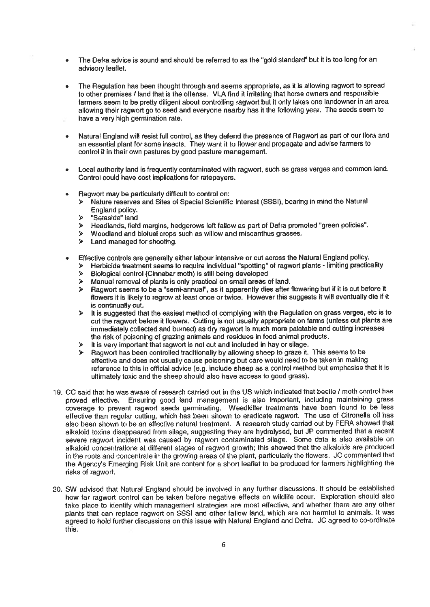- The Defra advice is sound and should be referred to as the "gold standard" but it is too long for an advisory leaflet.
- The Regulation has been thought through and seems appropriate, as it is allowing ragwort to spread to other premises <sup>I</sup> land that is the offense. VLA find it irritating that horse owners and responsible farmers seem to be pretty diligent about controlling ragwort but it only takes one landowner in an area allowing their ragwort go to seed and everyone nearby has it the following year. The seeds seem to have <sup>a</sup> very high germination rate.
- Natural England will resist full control, as they defend the presence of Ragwort as part of our flora and an essential plant for some insects. They want it to flower and propagate and advise farmers to control it in their own pastures by good pasture management.
- Local authority land is frequently contaminated with ragwort, such as grass verges and common land. Control could have cost implications for ratepayers.
- Ragwort may be particularly difficult to control on:
	- <sup>&</sup>gt; Nature reserves and Sites of Special Scientific Interest (5551), bearing in mind the Natural England policy.
	- <sup>&</sup>gt; "Setaside" land
	- <sup>&</sup>gt; Headlands, field margins, hedgerows left fallow as part of Defra promoted "green policie?.
	- <sup>&</sup>gt; Woodland and biofuel crops such as willow and miscanthus grasses.
	- <sup>&</sup>gt; Land managed for shooting.
- Effective controls are generally either labour intensive or cut across the Natural England policy.
	- $\triangleright$  Herbicide treatment seems to require individual "spotting" of ragwort plants limiting practicality
	- $\triangleright$  Biological control (Cinnabar moth) is still being developed
	- <sup>&</sup>gt; Manual removal of plants is only practical on small areas of land.
	- <sup>&</sup>gt; Ragwort seems to be <sup>a</sup> "semi-annual", as it apparently dies after flowering but if it is cut before it flowers it is likely to regrow at least once or twice. However this suggests it will eventually die if it is continually cut.
	- <sup>&</sup>gt; It is suggested that the easiest method of complying with the Regulation on grass verges, etc is to cut the ragwort before it flowers. Cutting is not usually appropriate on farms (unless cut plants are immediately collected and burned) as dry ragwort is much more palatable and cutting increases the risk of poisoning of grazing animals and residues in food animal products.
	- $\triangleright$  It is very important that ragwort is not cut and included in hay or silage.
	- <sup>&</sup>gt; Ragwort has been controlled traditionally by allowing sheep to graze it. This seems to be effective and does not usually cause poisoning but care would need to be taken in making reference to this in official advice (e.g. include sheep as <sup>a</sup> control method but emphasise that it is ultimately toxic and the sheep should also have access to good grass).
- 19. CC said that he was aware of research carried out in the US which indicated that beetle / moth control has proved effective. Ensuring good land management is also important, including maintaining grass coverage to prevent ragwort seeds germinating. Weedkiller treatments have been found to be less effective than regular cutting, which has been shown to eradicate ragwort. The use of Citronella oil has also been shown to be an effective natural treatment. A research study carried out by FERA showed that alkaloid toxins disappeared from silage, suggesting they are hydrolysed, but JP commented that <sup>a</sup> recent severe ragwort incident was caused by ragwort contaminated silage. Some data is also available on alkaloid concentrations at different stages of ragwort growth; this showed that the alkaloids are produced in the roots and concentrate in the growing areas of the plant, particularly the flowers. JC commented that the Agency's Emerging Risk Unit are content for <sup>a</sup> short leaflet to be produced for farmers highlighting the risks of ragwort.
- 20. SW advised that Natural England should be involved in any further discussions. It should be established how far ragwort control can be taken before negative effects on wildlife occur. Exploration should also take place to identify which management strategies are most effective, and whether there are any other plants that can replace ragwort on SSSI and other fallow land, which are not harmful to animals. It was agreed to hold further discussions on this issue with Natural England and Defra. JC agreed to co-ordinate this.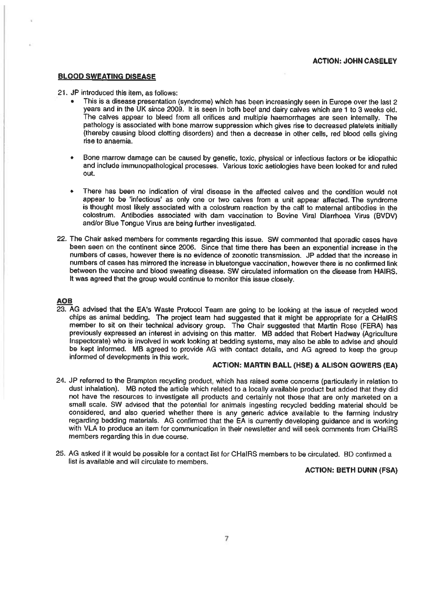## BLOOD SWEATING DISEASE

#### 21. JP introduced this item, as follows:

- This is <sup>a</sup> disease presentation (syndrome) which has been increasingly seen in Europe over the last 2 years and in the UK since 2009. It is seen In both beef and dairy calves which are 1 to 3 weeks old. The calves appear to bleed from all orifices and multiple haemorrhages are seen internally. The pathology is associated with bone marrow suppression which gives rise to decreased platelets initially (thereby causing blood clotting disorders) and then <sup>a</sup> decrease in other cells, red blood cells giving rise to anaemia.
- Bone marrow damage can be caused by genetic, toxic, physical or infectious factors or be idiopathic and include immunopathological processes. Various toxic aetiologies have been looked for and ruled out.
- There has been no indication of viral disease in the affected calves and the condition would not appear to be 'infectious' as only one or two calves from a unit appear affected. The syndrome is thought most likely associated with <sup>a</sup> colostrum reaction by the calf to maternal antibodies in the colostrum. Antibodies associated with dam vaccination to Bovine Viral Diarrhoea Virus (BVDV) and/or Blue Tongue Virus are being further investigated.
- 22. The Chair asked members for comments regarding this issue. SW commented that sporadic cases have been seen on the continent since 2006. Since that time there has been an exponential increase in the numbers of cases, however there is no evidence of zoonotic transmission. JP added that the increase in numbers of cases has mirrored the increase in bluetongue vaccination, however there is no confirmed link between the vaccine and blood sweating disease. SW circulated information on the disease from HAIRS. It was agreed that the group would continue to monitor this issue closely.

#### AOB

23. AG advised that the EA's Waste Protocol Team are going to be looking at the issue of recycled wood chips as animal bedding. The project team had suggested that it might be appropriate for <sup>a</sup> CHaIRS member to sit on their technical advisory group. The Chair suggested that Martin Rose (FERA) has previously expressed an interest in advising on this matter. MB added that Robert Hadway (Agriculture Inspectorate) who is involved in work looking at bedding systems, may also be able to advise and should be kept informed. MB agreed to provide AG with contact details, and AG agreed to keep the group informed of developments in this work.

## ACTION: MARTIN BALL (HSE) & ALISON GOWERS (EA)

- 24. JP referred to the Brampton recycling product, which has raised some concerns (particularly in relation to dust inhalation). MB noted the article which related to <sup>a</sup> locally available product but added that they did not have the resources to investigate all products and certainly not those that are only marketed on <sup>a</sup> small scale. SW advised that the potential for animals ingesting recycled bedding material should be considered, and also queried whether there is any generic advice available to the farming industry regarding bedding materials. AG confirmed that the EA is currently developing guidance and is working with VLA to produce an item for communication in their newsletter and will seek comments from CHaIRS members regarding this in due course.
- 25. AG asked if it would be possible for <sup>a</sup> contact list for CHaIRS members to be circulated. BD confirmed <sup>a</sup> list is available and will circulate to members.

# ACTION: BETH DUNN (FSA)